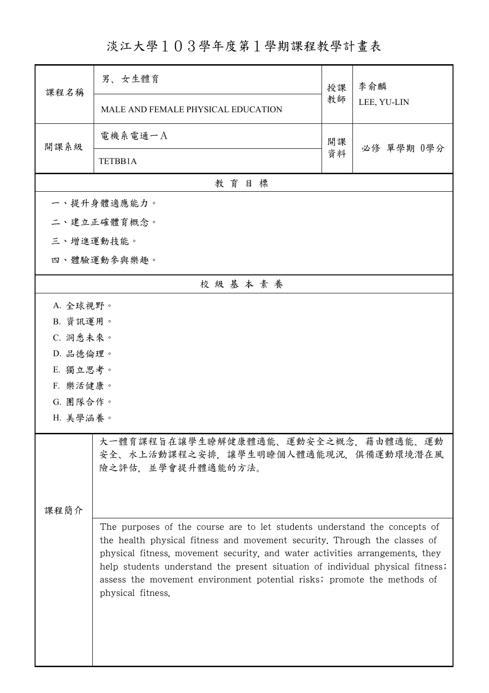淡江大學103學年度第1學期課程教學計畫表

| 課程名稱                                                                                                    | 男、女生體育                                                                                                                                                                                                                                                                                                                                                                                                                   | 授課 | 李俞麟<br>LEE, YU-LIN |  |
|---------------------------------------------------------------------------------------------------------|--------------------------------------------------------------------------------------------------------------------------------------------------------------------------------------------------------------------------------------------------------------------------------------------------------------------------------------------------------------------------------------------------------------------------|----|--------------------|--|
|                                                                                                         | MALE AND FEMALE PHYSICAL EDUCATION                                                                                                                                                                                                                                                                                                                                                                                       | 教師 |                    |  |
| 開課系級                                                                                                    | 電機系電通一A                                                                                                                                                                                                                                                                                                                                                                                                                  | 開課 | 必修 單學期 0學分         |  |
|                                                                                                         | TETBB1A                                                                                                                                                                                                                                                                                                                                                                                                                  | 資料 |                    |  |
|                                                                                                         | 教育目標                                                                                                                                                                                                                                                                                                                                                                                                                     |    |                    |  |
|                                                                                                         | 一、提升身體適應能力。                                                                                                                                                                                                                                                                                                                                                                                                              |    |                    |  |
|                                                                                                         | 二、建立正確體育概念。                                                                                                                                                                                                                                                                                                                                                                                                              |    |                    |  |
| 三、增進運動技能。                                                                                               |                                                                                                                                                                                                                                                                                                                                                                                                                          |    |                    |  |
|                                                                                                         | 四、體驗運動參與樂趣。                                                                                                                                                                                                                                                                                                                                                                                                              |    |                    |  |
|                                                                                                         | 校級基本素養                                                                                                                                                                                                                                                                                                                                                                                                                   |    |                    |  |
| A. 全球視野。                                                                                                |                                                                                                                                                                                                                                                                                                                                                                                                                          |    |                    |  |
|                                                                                                         | B. 資訊運用。                                                                                                                                                                                                                                                                                                                                                                                                                 |    |                    |  |
| C. 洞悉未來。                                                                                                |                                                                                                                                                                                                                                                                                                                                                                                                                          |    |                    |  |
| D. 品德倫理。                                                                                                |                                                                                                                                                                                                                                                                                                                                                                                                                          |    |                    |  |
| E. 獨立思考。                                                                                                |                                                                                                                                                                                                                                                                                                                                                                                                                          |    |                    |  |
| F. 樂活健康。                                                                                                |                                                                                                                                                                                                                                                                                                                                                                                                                          |    |                    |  |
| G. 團隊合作。                                                                                                |                                                                                                                                                                                                                                                                                                                                                                                                                          |    |                    |  |
| H. 美學涵養。                                                                                                |                                                                                                                                                                                                                                                                                                                                                                                                                          |    |                    |  |
| 大一體育課程旨在讓學生瞭解健康體適能、運動安全之概念,藉由體適能、運動<br>安全、水上活動課程之安排,讓學生明瞭個人體適能現況,俱備運動環境潛在風<br>險之評估,並學會提升體適能的方法。<br>课程简介 |                                                                                                                                                                                                                                                                                                                                                                                                                          |    |                    |  |
|                                                                                                         | The purposes of the course are to let students understand the concepts of<br>the health physical fitness and movement security. Through the classes of<br>physical fitness, movement security, and water activities arrangements, they<br>help students understand the present situation of individual physical fitness;<br>assess the movement environment potential risks; promote the methods of<br>physical fitness. |    |                    |  |

ı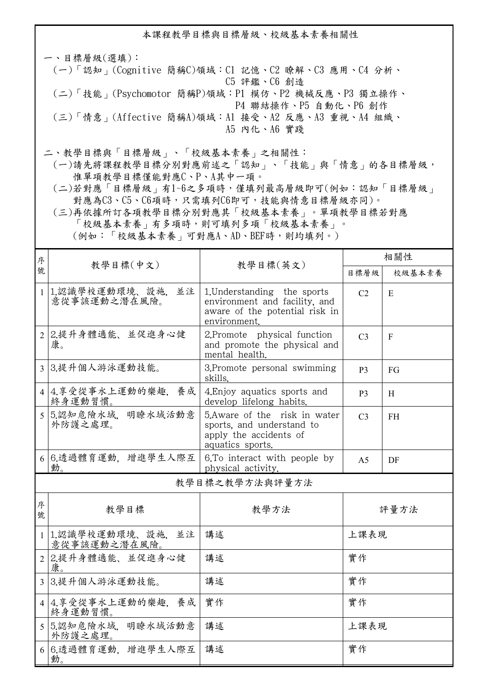本課程教學目標與目標層級、校級基本素養相關性

一、目標層級(選填): (一)「認知」(Cognitive 簡稱C)領域:C1 記憶、C2 瞭解、C3 應用、C4 分析、 C5 評鑑、C6 創造 (二)「技能」(Psychomotor 簡稱P)領域:P1 模仿、P2 機械反應、P3 獨立操作、 P4 聯結操作、P5 自動化、P6 創作 (三)「情意」(Affective 簡稱A)領域:A1 接受、A2 反應、A3 重視、A4 組織、 A5 內化、A6 實踐

二、教學目標與「目標層級」、「校級基本素養」之相關性:

 (一)請先將課程教學目標分別對應前述之「認知」、「技能」與「情意」的各目標層級, 惟單項教學目標僅能對應C、P、A其中一項。

 (二)若對應「目標層級」有1~6之多項時,僅填列最高層級即可(例如:認知「目標層級」 對應為C3、C5、C6項時,只需填列C6即可,技能與情意目標層級亦同)。

 (三)再依據所訂各項教學目標分別對應其「校級基本素養」。單項教學目標若對應 「校級基本素養」有多項時,則可填列多項「校級基本素養」。 (例如:「校級基本素養」可對應A、AD、BEF時,則均填列。)

| 序              |                                        |                                                                                                                | 相關性            |           |  |
|----------------|----------------------------------------|----------------------------------------------------------------------------------------------------------------|----------------|-----------|--|
| 號              | 教學目標(中文)<br>教學目標(英文)                   |                                                                                                                | 目標層級           | 校級基本素養    |  |
|                | 1 1.認識學校運動環境、設施,<br>並注<br>意從事該運動之潛在風險。 | 1. Understanding the sports<br>environment and facility, and<br>aware of the potential risk in<br>environment. | C <sub>2</sub> | E         |  |
|                | 2 2.提升身體適能、並促進身心健<br>康。                | 2.Promote physical function<br>and promote the physical and<br>mental health.                                  | C <sub>3</sub> | F         |  |
|                | 3 3.提升個人游泳運動技能。                        | 3. Promote personal swimming<br>skills.                                                                        | <b>P3</b>      | FG        |  |
|                | 4 4.享受從事水上運動的樂趣,養成<br>終身運動習慣。          | 4. Enjoy aquatics sports and<br>develop lifelong habits.                                                       | P <sub>3</sub> | H         |  |
|                | 5 5.認知危險水域. 明瞭水域活動意<br>外防護之處理。         | 5. Aware of the risk in water<br>sports, and understand to<br>apply the accidents of<br>aquatics sports.       | C <sub>3</sub> | <b>FH</b> |  |
|                | 6 6.透過體育運動, 增進學生人際互<br>動。              | 6. To interact with people by<br>physical activity.                                                            | A <sub>5</sub> | DF        |  |
| 教學目標之教學方法與評量方法 |                                        |                                                                                                                |                |           |  |
| 序<br>號         | 教學目標                                   | 教學方法                                                                                                           | 評量方法           |           |  |
|                | 1 1.認識學校運動環境、設施、並注<br>意從事該運動之潛在風險。     | 講述<br>上課表現                                                                                                     |                |           |  |
|                | 2 2.提升身體適能、並促進身心健<br>講述<br>實作<br>康.    |                                                                                                                |                |           |  |
|                | 3 3.提升個人游泳運動技能。                        | 講述                                                                                                             | 實作             |           |  |
|                | 4 4.享受從事水上運動的樂趣,養成<br>終身運動習慣。          | 實作                                                                                                             | 實作             |           |  |
|                | 5 5.認知危險水域. 明瞭水域活動意<br>外防護之處理。         | 講述                                                                                                             | 上課表現           |           |  |
|                | 6 6.透過體育運動, 增進學生人際互<br>動。              | 講述                                                                                                             | 實作             |           |  |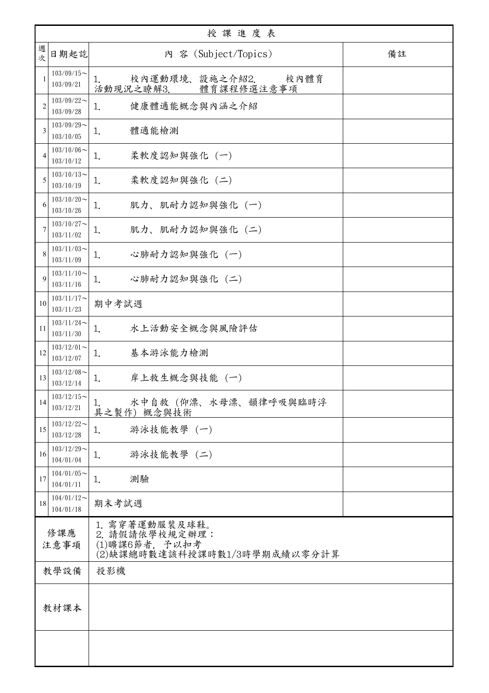| 授課進度表          |                               |                                                                                    |    |  |
|----------------|-------------------------------|------------------------------------------------------------------------------------|----|--|
| 週<br>次         | 日期起訖                          | 內 容 (Subject/Topics)                                                               | 備註 |  |
|                | $103/09/15$ ~<br>103/09/21    | 校內運動環境、設施之介紹2.<br>校內體育<br>1.<br>活動現況之瞭解3.<br>體育課程修選注意事項                            |    |  |
| $\overline{2}$ | $103/09/22$ ~<br>103/09/28    | 健康體適能概念與內涵之介紹<br>1.                                                                |    |  |
| 3              | $103/09/29$ ~<br>103/10/05    | 體適能檢測<br>1.                                                                        |    |  |
| $\overline{4}$ | $103/10/06 \sim$<br>103/10/12 | 柔軟度認知與強化 (一)<br>1.                                                                 |    |  |
| 5              | $103/10/13$ ~<br>103/10/19    | 柔軟度認知與強化 (二)<br>1.                                                                 |    |  |
| 6              | $103/10/20$ ~<br>103/10/26    | 肌力、肌耐力認知與強化 (一)<br>1.                                                              |    |  |
| 7              | $103/10/27$ ~<br>103/11/02    | 肌力、肌耐力認知與強化 (二)<br>1.                                                              |    |  |
| 8              | $103/11/03$ ~<br>103/11/09    | 心肺耐力認知與強化 (一)<br>1.                                                                |    |  |
| 9              | $103/11/10$ ~<br>103/11/16    | 心肺耐力認知與強化 (二)<br>1.                                                                |    |  |
| 10             | $103/11/17$ ~<br>103/11/23    | 期中考試週                                                                              |    |  |
| 11             | $103/11/24$ ~<br>103/11/30    | 水上活動安全概念與風險評估<br>1.                                                                |    |  |
| 12             | $103/12/01$ ~<br>103/12/07    | 基本游泳能力檢測<br>1.                                                                     |    |  |
| 13             | $103/12/08$ ~<br>103/12/14    | 岸上救生概念與技能 (一)<br>1.                                                                |    |  |
| 14             | $103/12/15$ ~<br>103/12/21    | 水中自救(仰漂、水母漂、韻律呼吸與臨時浮<br>1.<br>具之製作) 概念與技術                                          |    |  |
| 15             | $103/12/22$ ~<br>103/12/28    | 游泳技能教學 (一)<br>1.                                                                   |    |  |
| 16             | $103/12/29$ ~<br>104/01/04    | 游泳技能教學 (二)<br>1.                                                                   |    |  |
| 17             | $104/01/05$ ~<br>104/01/11    | 測驗<br>1.                                                                           |    |  |
| 18             | $104/01/12$ ~<br>104/01/18    | 期末考試週                                                                              |    |  |
| 修課應<br>注意事項    |                               | 1. 需穿著運動服裝及球鞋。<br>2. 請假請依學校規定辦理:<br>(1)曠課6節者, 予以扣考<br>(2)缺課總時數達該科授課時數1/3時學期成績以零分計算 |    |  |
|                | 教學設備                          | 投影機                                                                                |    |  |
| 教材課本           |                               |                                                                                    |    |  |
|                |                               |                                                                                    |    |  |